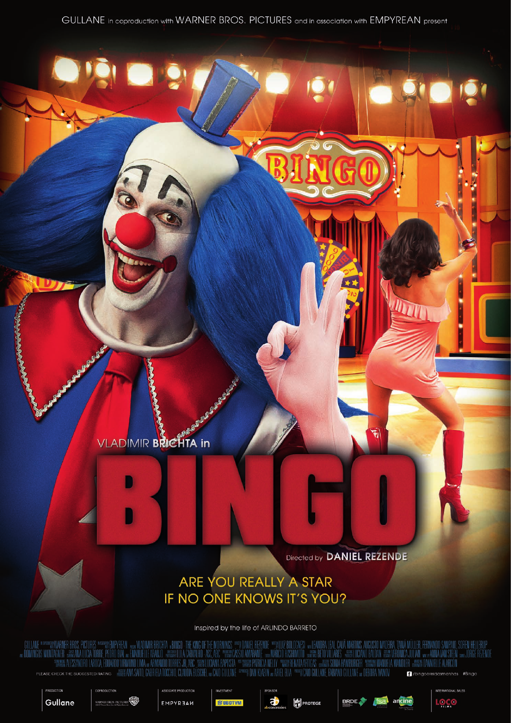### **VLADIMIR BRICHTA in**

Directed by DANIEL REZENDE

ū

## ARE YOU REALLY A STAR IF NO ONE KNOWS IT'S YOU?

Inspired by the life of ARLINDO BARRETO



ER BROS. PICTURES











**TERNATIONAL SALES**  $\frac{1}{2}$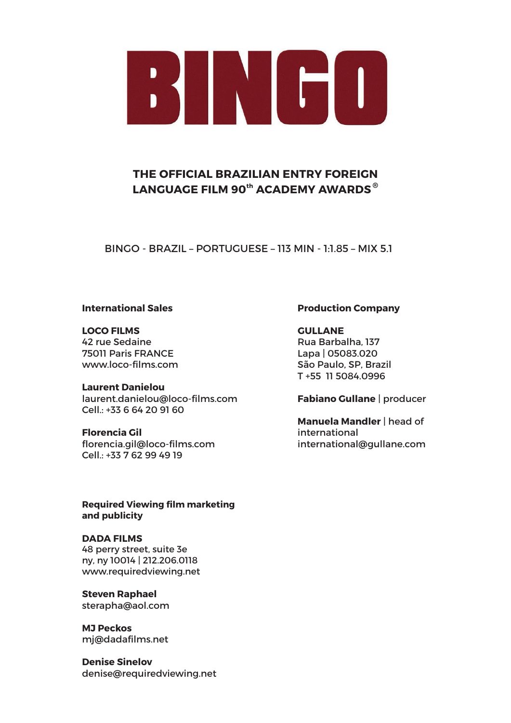

#### **THE OFFICIAL BRAZILIAN ENTRY FOREIGN LANGUAGE FILM 90th ACADEMY AWARDS ®**

BINGO - BRAZIL – PORTUGUESE – 113 MIN - 1:1.85 – MIX 5.1

#### **International Sales**

**LOCO FILMS** 42 rue Sedaine 75011 Paris FRANCE www.loco-films.com

**Laurent Danielou** laurent.danielou@loco-films.com  $Cell: +33664209160$ 

#### **Florencia Gil**

florencia.gil@loco-films.com Cell.: +33 7 62 99 49 19

**Required Viewing film marketing and publicity**

**DADA FILMS** 48 perry street, suite 3e ny, ny 10014 | 212.206.0118 www.requiredviewing.net

**Steven Raphael** sterapha@aol.com

**MJ Peckos**  mj@dadafilms.net

**Denise Sinelov** denise@requiredviewing.net

#### **Production Company**

**GULLANE** Rua Barbalha, 137 Lapa | 05083.020 São Paulo, SP, Brazil T +55 11 5084.0996

#### **Fabiano Gullane** | producer

**Manuela Mandler** | head of international international@gullane.com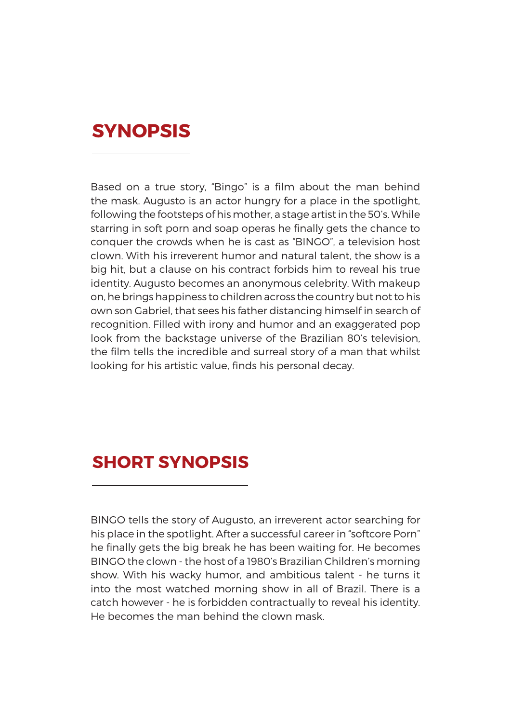# **SYNOPSIS**

Based on a true story, "Bingo" is a film about the man behind the mask. Augusto is an actor hungry for a place in the spotlight, following the footsteps of his mother, a stage artist in the 50's. While starring in soft porn and soap operas he finally gets the chance to conquer the crowds when he is cast as "BINGO", a television host clown. With his irreverent humor and natural talent, the show is a big hit, but a clause on his contract forbids him to reveal his true identity. Augusto becomes an anonymous celebrity. With makeup on, he brings happiness to children across the country but not to his own son Gabriel, that sees his father distancing himself in search of recognition. Filled with irony and humor and an exaggerated pop look from the backstage universe of the Brazilian 80's television, the film tells the incredible and surreal story of a man that whilst looking for his artistic value, finds his personal decay.

# **SHORT SYNOPSIS**

BINGO tells the story of Augusto, an irreverent actor searching for his place in the spotlight. After a successful career in "softcore Porn" he finally gets the big break he has been waiting for. He becomes BINGO the clown - the host of a 1980's Brazilian Children's morning show. With his wacky humor, and ambitious talent - he turns it into the most watched morning show in all of Brazil. There is a catch however - he is forbidden contractually to reveal his identity. He becomes the man behind the clown mask.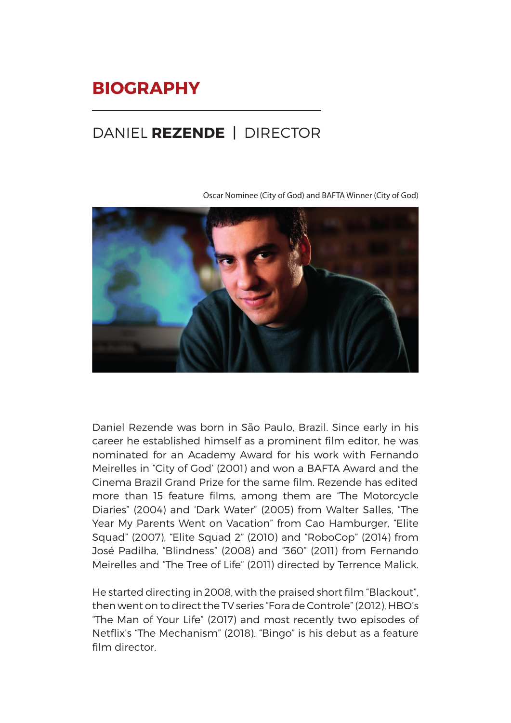# **BIOGRAPHY**

# DANIEL **REZENDE** | DIRECTOR

Oscar Nominee (City of God) and BAFTA Winner (City of God)



Daniel Rezende was born in São Paulo, Brazil. Since early in his career he established himself as a prominent film editor, he was nominated for an Academy Award for his work with Fernando Meirelles in "City of God' (2001) and won a BAFTA Award and the Cinema Brazil Grand Prize for the same film. Rezende has edited more than 15 feature films, among them are "The Motorcycle Diaries" (2004) and 'Dark Water" (2005) from Walter Salles, "The Year My Parents Went on Vacation" from Cao Hamburger, "Elite Squad" (2007), "Elite Squad 2" (2010) and "RoboCop" (2014) from José Padilha, "Blindness" (2008) and "360" (2011) from Fernando Meirelles and "The Tree of Life" (2011) directed by Terrence Malick.

He started directing in 2008, with the praised short film "Blackout", then went on to direct the TV series "Fora de Controle" (2012), HBO's "The Man of Your Life" (2017) and most recently two episodes of Netflix's "The Mechanism" (2018). "Bingo" is his debut as a feature film director.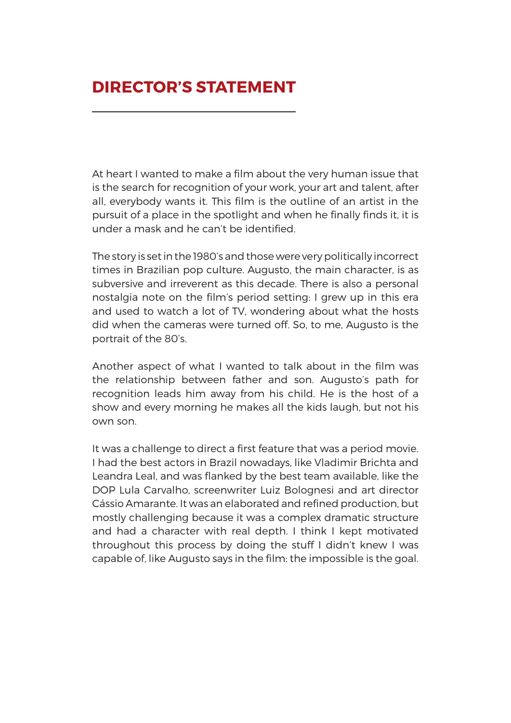# **DIRECTOR'S STATEMENT**

At heart I wanted to make a film about the very human issue that is the search for recognition of your work, your art and talent, after all, everybody wants it. This film is the outline of an artist in the pursuit of a place in the spotlight and when he finally finds it, it is under a mask and he can't be identified.

The story is set in the 1980's and those were very politically incorrect times in Brazilian pop culture. Augusto, the main character, is as subversive and irreverent as this decade. There is also a personal nostalgia note on the film's period setting: I grew up in this era and used to watch a lot of TV, wondering about what the hosts did when the cameras were turned off. So, to me, Augusto is the portrait of the 80's.

Another aspect of what I wanted to talk about in the film was the relationship between father and son. Augusto's path for recognition leads him away from his child. He is the host of a show and every morning he makes all the kids laugh, but not his own son.

It was a challenge to direct a first feature that was a period movie. I had the best actors in Brazil nowadays, like Vladimir Brichta and Leandra Leal, and was flanked by the best team available, like the DOP Lula Carvalho, screenwriter Luiz Bolognesi and art director Cássio Amarante. It was an elaborated and refined production, but mostly challenging because it was a complex dramatic structure and had a character with real depth. I think I kept motivated throughout this process by doing the stuff I didn't knew I was capable of, like Augusto says in the film: the impossible is the goal.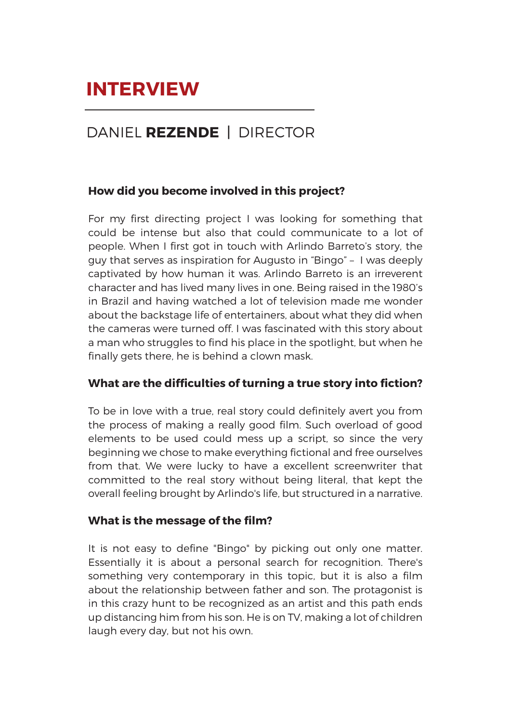# DANIEL **REZENDE** | DIRECTOR

#### **How did you become involved in this project?**

For my first directing project I was looking for something that could be intense but also that could communicate to a lot of people. When I first got in touch with Arlindo Barreto's story, the guy that serves as inspiration for Augusto in "Bingo" – I was deeply captivated by how human it was. Arlindo Barreto is an irreverent character and has lived many lives in one. Being raised in the 1980's in Brazil and having watched a lot of television made me wonder about the backstage life of entertainers, about what they did when the cameras were turned off. I was fascinated with this story about a man who struggles to find his place in the spotlight, but when he finally gets there, he is behind a clown mask.

#### **What are the difficulties of turning a true story into fiction?**

To be in love with a true, real story could definitely avert you from the process of making a really good film. Such overload of good elements to be used could mess up a script, so since the very beginning we chose to make everything fictional and free ourselves from that. We were lucky to have a excellent screenwriter that committed to the real story without being literal, that kept the overall feeling brought by Arlindo's life, but structured in a narrative.

#### **What is the message of the film?**

It is not easy to define "Bingo" by picking out only one matter. Essentially it is about a personal search for recognition. There's something very contemporary in this topic, but it is also a film about the relationship between father and son. The protagonist is in this crazy hunt to be recognized as an artist and this path ends up distancing him from his son. He is on TV, making a lot of children laugh every day, but not his own.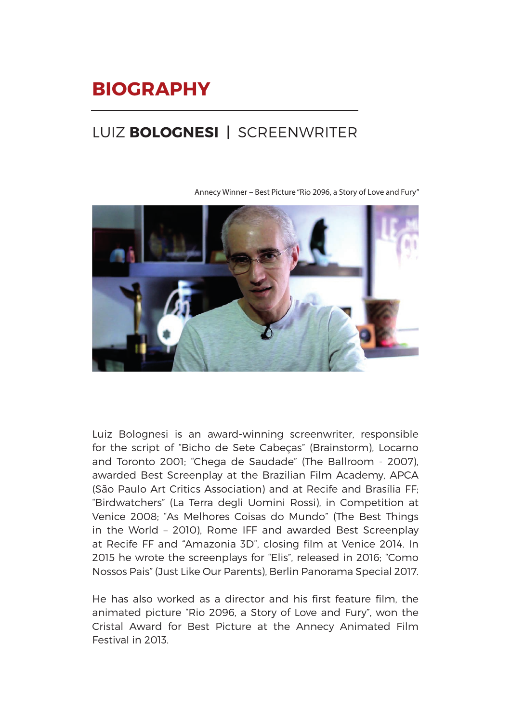# **BIOGRAPHY**

# LUIZ **BOLOGNESI** | SCREENWRITER



Annecy Winner – Best Picture "Rio 2096, a Story of Love and Fury"

Luiz Bolognesi is an award-winning screenwriter, responsible for the script of "Bicho de Sete Cabeças" (Brainstorm), Locarno and Toronto 2001; "Chega de Saudade" (The Ballroom - 2007), awarded Best Screenplay at the Brazilian Film Academy, APCA (São Paulo Art Critics Association) and at Recife and Brasília FF; "Birdwatchers" (La Terra degli Uomini Rossi), in Competition at Venice 2008; "As Melhores Coisas do Mundo" (The Best Things in the World – 2010), Rome IFF and awarded Best Screenplay at Recife FF and "Amazonia 3D", closing film at Venice 2014. In 2015 he wrote the screenplays for "Elis", released in 2016; "Como Nossos Pais" (Just Like Our Parents), Berlin Panorama Special 2017.

He has also worked as a director and his first feature film, the animated picture "Rio 2096, a Story of Love and Fury", won the Cristal Award for Best Picture at the Annecy Animated Film Festival in 2013.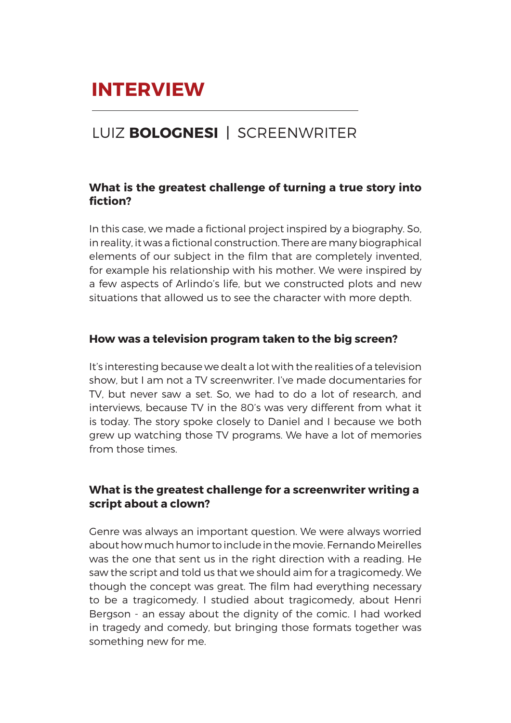## LUIZ **BOLOGNESI** | SCREENWRITER

#### **What is the greatest challenge of turning a true story into fiction?**

In this case, we made a fictional project inspired by a biography. So, in reality, it was a fictional construction. There are many biographical elements of our subject in the film that are completely invented, for example his relationship with his mother. We were inspired by a few aspects of Arlindo's life, but we constructed plots and new situations that allowed us to see the character with more depth.

#### **How was a television program taken to the big screen?**

It's interesting because we dealt a lot with the realities of a television show, but I am not a TV screenwriter. I've made documentaries for TV, but never saw a set. So, we had to do a lot of research, and interviews, because TV in the 80's was very different from what it is today. The story spoke closely to Daniel and I because we both grew up watching those TV programs. We have a lot of memories from those times.

#### **What is the greatest challenge for a screenwriter writing a script about a clown?**

Genre was always an important question. We were always worried about how much humor to include in the movie. Fernando Meirelles was the one that sent us in the right direction with a reading. He saw the script and told us that we should aim for a tragicomedy. We though the concept was great. The film had everything necessary to be a tragicomedy. I studied about tragicomedy, about Henri Bergson - an essay about the dignity of the comic. I had worked in tragedy and comedy, but bringing those formats together was something new for me.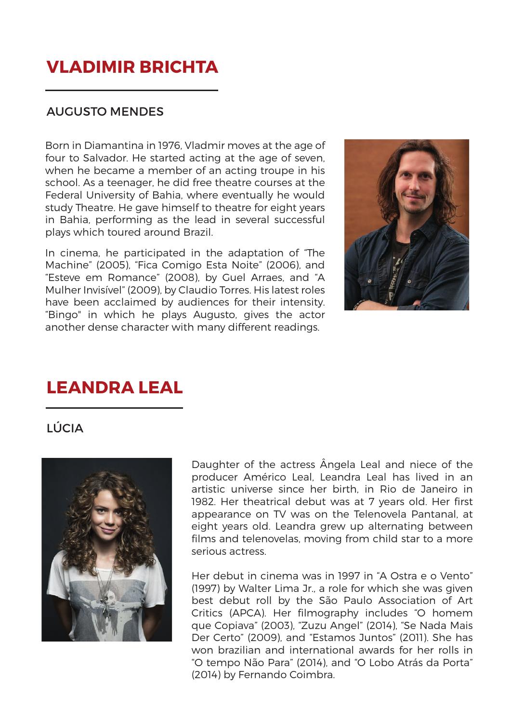# **VLADIMIR BRICHTA**

#### AUGUSTO MENDES

Born in Diamantina in 1976, Vladmir moves at the age of four to Salvador. He started acting at the age of seven, when he became a member of an acting troupe in his school. As a teenager, he did free theatre courses at the Federal University of Bahia, where eventually he would study Theatre. He gave himself to theatre for eight years in Bahia, performing as the lead in several successful plays which toured around Brazil.

In cinema, he participated in the adaptation of "The Machine" (2005), "Fica Comigo Esta Noite" (2006), and "Esteve em Romance" (2008), by Guel Arraes, and "A Mulher Invisível" (2009), by Claudio Torres. His latest roles have been acclaimed by audiences for their intensity. "Bingo" in which he plays Augusto, gives the actor another dense character with many different readings.



## **LEANDRA LEAL**

LÚCIA



Daughter of the actress Ângela Leal and niece of the producer Américo Leal, Leandra Leal has lived in an artistic universe since her birth, in Rio de Janeiro in 1982. Her theatrical debut was at 7 years old. Her first appearance on TV was on the Telenovela Pantanal, at eight years old. Leandra grew up alternating between films and telenovelas, moving from child star to a more serious actress.

Her debut in cinema was in 1997 in "A Ostra e o Vento" (1997) by Walter Lima Jr., a role for which she was given best debut roll by the São Paulo Association of Art Critics (APCA). Her filmography includes "O homem que Copiava" (2003), "Zuzu Angel" (2014), "Se Nada Mais Der Certo" (2009), and "Estamos Juntos" (2011). She has won brazilian and international awards for her rolls in "O tempo Não Para" (2014), and "O Lobo Atrás da Porta" (2014) by Fernando Coimbra.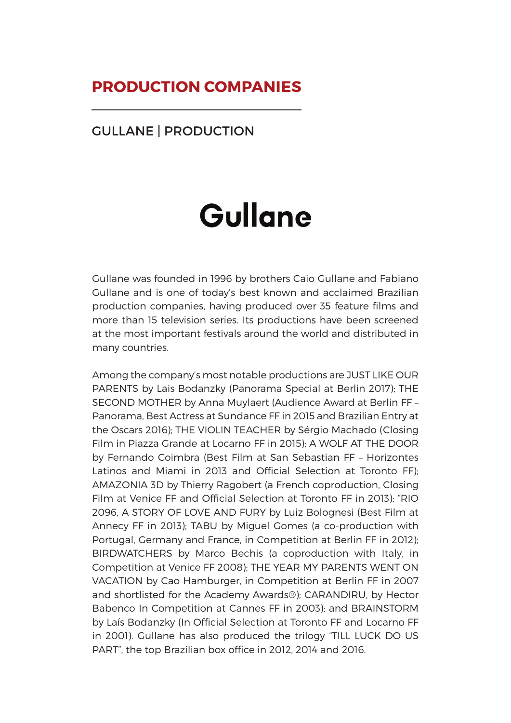## **PRODUCTION COMPANIES**

#### GULLANE | PRODUCTION

# Gullane

Gullane was founded in 1996 by brothers Caio Gullane and Fabiano Gullane and is one of today's best known and acclaimed Brazilian production companies, having produced over 35 feature films and more than 15 television series. Its productions have been screened at the most important festivals around the world and distributed in many countries.

Among the company's most notable productions are JUST LIKE OUR PARENTS by Lais Bodanzky (Panorama Special at Berlin 2017); THE SECOND MOTHER by Anna Muylaert (Audience Award at Berlin FF – Panorama, Best Actress at Sundance FF in 2015 and Brazilian Entry at the Oscars 2016); THE VIOLIN TEACHER by Sérgio Machado (Closing Film in Piazza Grande at Locarno FF in 2015); A WOLF AT THE DOOR by Fernando Coimbra (Best Film at San Sebastian FF – Horizontes Latinos and Miami in 2013 and Official Selection at Toronto FF); AMAZONIA 3D by Thierry Ragobert (a French coproduction, Closing Film at Venice FF and Official Selection at Toronto FF in 2013); "RIO 2096, A STORY OF LOVE AND FURY by Luiz Bolognesi (Best Film at Annecy FF in 2013); TABU by Miguel Gomes (a co-production with Portugal, Germany and France, in Competition at Berlin FF in 2012); BIRDWATCHERS by Marco Bechis (a coproduction with Italy, in Competition at Venice FF 2008); THE YEAR MY PARENTS WENT ON VACATION by Cao Hamburger, in Competition at Berlin FF in 2007 and shortlisted for the Academy Awards®); CARANDIRU, by Hector Babenco In Competition at Cannes FF in 2003); and BRAINSTORM by Laís Bodanzky (In Official Selection at Toronto FF and Locarno FF in 2001). Gullane has also produced the trilogy "TILL LUCK DO US PART", the top Brazilian box office in 2012, 2014 and 2016.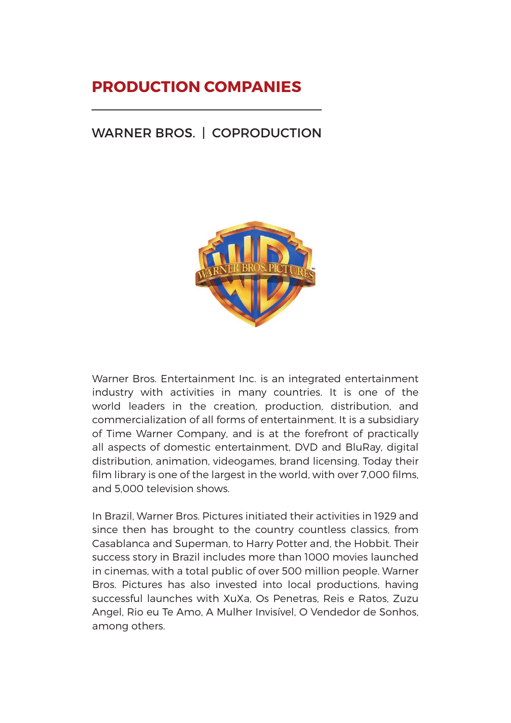# **PRODUCTION COMPANIES**

### WARNER BROS. | COPRODUCTION



Warner Bros. Entertainment Inc. is an integrated entertainment industry with activities in many countries. It is one of the world leaders in the creation, production, distribution, and commercialization of all forms of entertainment. It is a subsidiary of Time Warner Company, and is at the forefront of practically all aspects of domestic entertainment, DVD and BluRay, digital distribution, animation, videogames, brand licensing. Today their film library is one of the largest in the world, with over 7,000 films, and 5,000 television shows.

In Brazil, Warner Bros. Pictures initiated their activities in 1929 and since then has brought to the country countless classics, from Casablanca and Superman, to Harry Potter and, the Hobbit. Their success story in Brazil includes more than 1000 movies launched in cinemas, with a total public of over 500 million people. Warner Bros. Pictures has also invested into local productions, having successful launches with XuXa, Os Penetras, Reis e Ratos, Zuzu Angel, Rio eu Te Amo, A Mulher Invisível, O Vendedor de Sonhos, among others.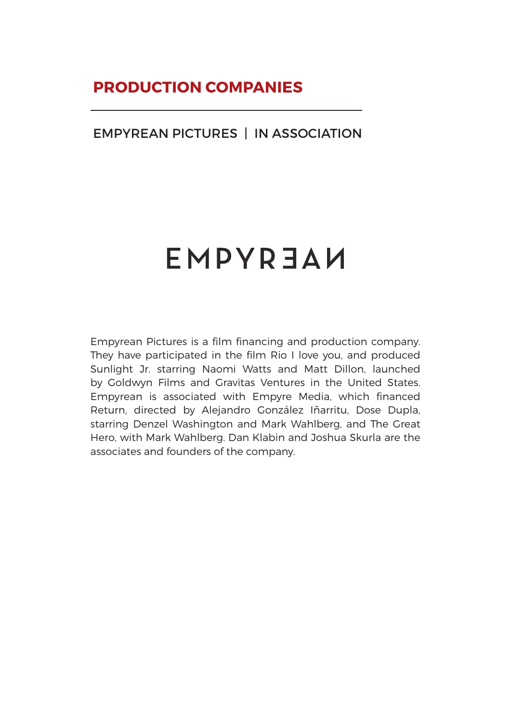## **PRODUCTION COMPANIES**

#### EMPYREAN PICTURES | IN ASSOCIATION

# EMPYREAU

Empyrean Pictures is a film financing and production company. They have participated in the film Rio I love you, and produced Sunlight Jr. starring Naomi Watts and Matt Dillon, launched by Goldwyn Films and Gravitas Ventures in the United States. Empyrean is associated with Empyre Media, which financed Return, directed by Alejandro González Iñarritu, Dose Dupla, starring Denzel Washington and Mark Wahlberg, and The Great Hero, with Mark Wahlberg. Dan Klabin and Joshua Skurla are the associates and founders of the company.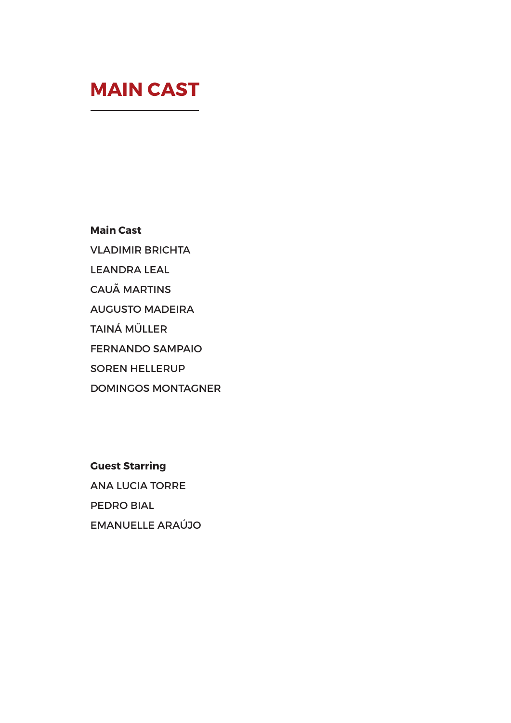# **MAIN CAST**

**Main Cast** 

VLADIMIR BRICHTA

LEANDRA LEAL

CAUÃ MARTINS

AUGUSTO MADEIRA

TAINÁ MÜLLER

FERNANDO SAMPAIO

SOREN HELLERUP

DOMINGOS MONTAGNER

**Guest Starring**  ANA LUCIA TORRE PEDRO BIAL EMANUELLE ARAÚJO